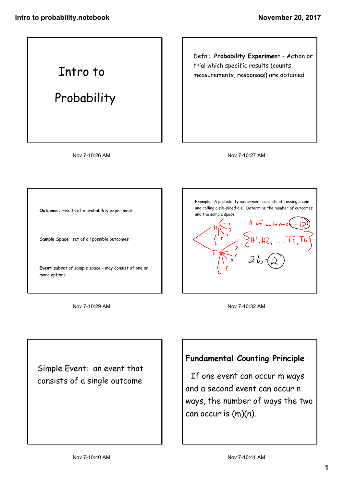Intro to

Probability

Nov 7-10:26 AM

Defn.: **Probability Experimen**t - Action or trial which specific results (counts, measurements, responses) are obtained

Nov 7-10:27 AM

**Outcome** : results of a probability experiment

**Sample Space**: set of all possible outcomes

**Event**: subset of sample space - may consist of one or more options

Nov 7-10:29 AM

Example: A probability experiment consists of tossing a coin and rolling a six-sided die. Determine the number of outcomes and the sample space.

Nov 7-10:32 AM

Simple Event: an event that consists of a single outcome

## **Fundamental Counting Principle** :

If one event can occur m ways and a second event can occur n ways, the number of ways the two can occur is (m)(n).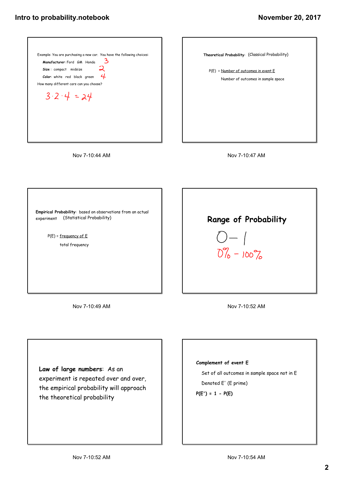







**Empirical Probability**: based on observations from an actual experiment (Statistical Probability)

> P(E) = frequency of E total frequency

> > Nov 7-10:49 AM

**Range of Probability**  $O-$  /  $0\% - 100\%$ 

Nov 7-10:52 AM

**Law of large numbers**: As an experiment is repeated over and over, the empirical probability will approach the theoretical probability

## **Complement of event E**

Set of all outcomes in sample space not in E

Denoted E' (E prime)

**P(E') = 1 - P(E)**